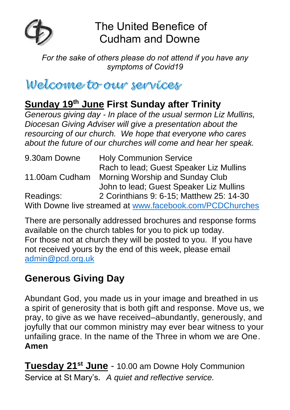

The United Benefice of Cudham and Downe

*For the sake of others please do not attend if you have any symptoms of Covid19*

Welcome to our services

# **Sunday 19th June First Sunday after Trinity**

*Generous giving day - In place of the usual sermon Liz Mullins, Diocesan Giving Adviser will give a presentation about the resourcing of our church. We hope that everyone who cares about the future of our churches will come and hear her speak.*

| 9.30am Downe   | <b>Holy Communion Service</b>                            |
|----------------|----------------------------------------------------------|
|                | Rach to lead; Guest Speaker Liz Mullins                  |
| 11.00am Cudham | Morning Worship and Sunday Club                          |
|                | John to lead; Guest Speaker Liz Mullins                  |
| Readings:      | 2 Corinthians 9: 6-15; Matthew 25: 14-30                 |
|                | With Downe live streamed at www.facebook.com/PCDChurches |

There are personally addressed brochures and response forms available on the church tables for you to pick up today. For those not at church they will be posted to you. If you have not received yours by the end of this week, please email [admin@pcd.org.uk](mailto:admin@pcd.org.uk) 

## **Generous Giving Day**

Abundant God, you made us in your image and breathed in us a spirit of generosity that is both gift and response. Move us, we pray, to give as we have received–abundantly, generously, and joyfully that our common ministry may ever bear witness to your unfailing grace. In the name of the Three in whom we are One. **Amen**

**Tuesday 21st June** *-* 10.00 am Downe Holy Communion Service at St Mary's*. A quiet and reflective service.*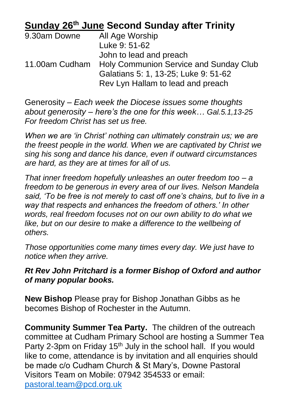## **Sunday 26th June Second Sunday after Trinity**

| 9.30am Downe   | All Age Worship                               |
|----------------|-----------------------------------------------|
|                | Luke 9: 51-62                                 |
|                | John to lead and preach                       |
| 11.00am Cudham | <b>Holy Communion Service and Sunday Club</b> |
|                | Galatians 5: 1, 13-25; Luke 9: 51-62          |
|                | Rev Lyn Hallam to lead and preach             |

Generosity – *Each week the Diocese issues some thoughts about generosity – here's the one for this week… Gal.5.1,13-25 For freedom Christ has set us free.*

*When we are 'in Christ' nothing can ultimately constrain us; we are the freest people in the world. When we are captivated by Christ we sing his song and dance his dance, even if outward circumstances are hard, as they are at times for all of us.*

*That inner freedom hopefully unleashes an outer freedom too – a freedom to be generous in every area of our lives. Nelson Mandela said, 'To be free is not merely to cast off one's chains, but to live in a way that respects and enhances the freedom of others.' In other words, real freedom focuses not on our own ability to do what we*  like, but on our desire to make a difference to the wellbeing of *others.*

*Those opportunities come many times every day. We just have to notice when they arrive.*

#### *Rt Rev John Pritchard is a former Bishop of Oxford and author of many popular books.*

**New Bishop** Please pray for Bishop Jonathan Gibbs as he becomes Bishop of Rochester in the Autumn.

**Community Summer Tea Party.** The children of the outreach committee at Cudham Primary School are hosting a Summer Tea Party 2-3pm on Friday 15<sup>th</sup> July in the school hall. If you would like to come, attendance is by invitation and all enquiries should be made c/o Cudham Church & St Mary's, Downe Pastoral Visitors Team on Mobile: 07942 354533 or email: [pastoral.team@pcd.org.uk](mailto:pastoral.team@pcd.org.uk)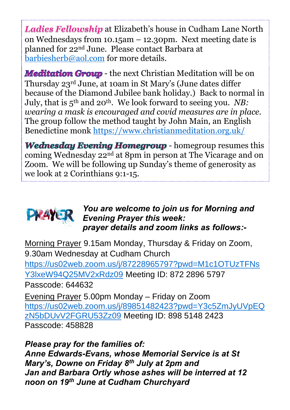*Ladies Fellowship* at Elizabeth's house in Cudham Lane North on Wednesdays from 10.15am – 12.30pm. Next meeting date is planned for 22nd June. Please contact Barbara at [barbiesherb@aol.com](mailto:barbiesherb@aol.com) for more details.

**Meditation Group** - the next Christian Meditation will be on Thursday 23rd June, at 10am in St Mary's (June dates differ because of the Diamond Jubilee bank holiday.) Back to normal in July, that is 5th and 20th. We look forward to seeing you. *NB: wearing a mask is encouraged and covid measures are in place.*  The group follow the method taught by John Main, an English Benedictine monk<https://www.christianmeditation.org.uk/>

**Wednesday Evening Homegroup - homegroup resumes this** coming Wednesday 22nd at 8pm in person at The Vicarage and on Zoom. We will be following up Sunday's theme of generosity as we look at 2 Corinthians 9:1-15.



*You are welcome to join us for Morning and*  **Evening Prayer this week:** *prayer details and zoom links as follows:-*

Morning Prayer 9.15am Monday, Thursday & Friday on Zoom, 9.30am Wednesday at Cudham Church

[https://us02web.zoom.us/j/87228965797?pwd=M1c1OTUzTFNs](https://us02web.zoom.us/j/87228965797?pwd=M1c1OTUzTFNsY3lxeW94Q25MV2xRdz09) [Y3lxeW94Q25MV2xRdz09](https://us02web.zoom.us/j/87228965797?pwd=M1c1OTUzTFNsY3lxeW94Q25MV2xRdz09) Meeting ID: 872 2896 5797 Passcode: 644632

Evening Prayer 5.00pm Monday – Friday on Zoom [https://us02web.zoom.us/j/89851482423?pwd=Y3c5ZmJyUVpEQ](https://us02web.zoom.us/j/89851482423?pwd=Y3c5ZmJyUVpEQzN5bDUvV2FGRU53Zz09) [zN5bDUvV2FGRU53Zz09](https://us02web.zoom.us/j/89851482423?pwd=Y3c5ZmJyUVpEQzN5bDUvV2FGRU53Zz09) Meeting ID: 898 5148 2423 Passcode: 458828

*Please pray for the families of: Anne Edwards-Evans, whose Memorial Service is at St Mary's, Downe on Friday 8th July at 2pm and Jan and Barbara Ortly whose ashes will be interred at 12 noon on 19th June at Cudham Churchyard*